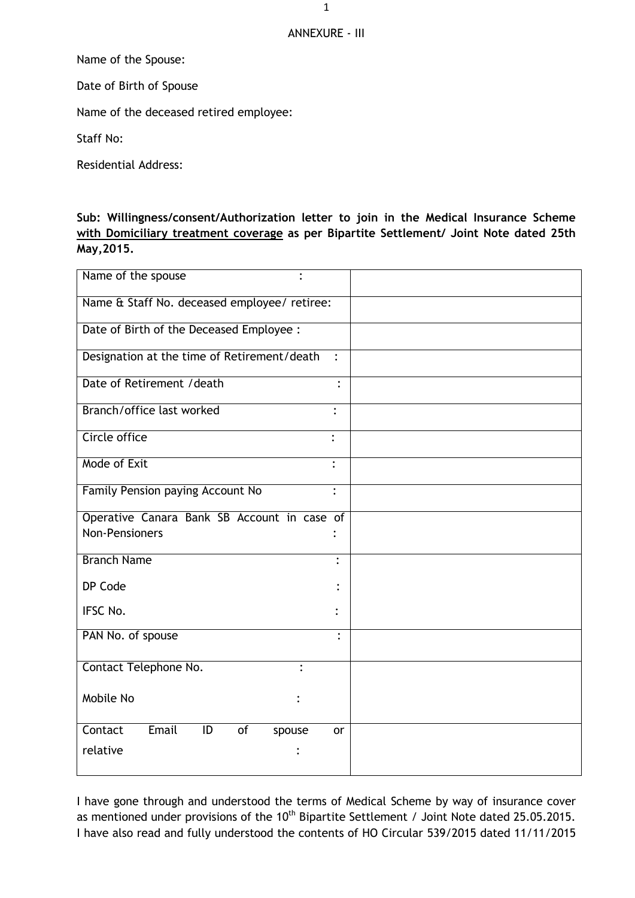## ANNEXURE - III

Name of the Spouse:

Date of Birth of Spouse

Name of the deceased retired employee:

Staff No:

Residential Address:

**Sub: Willingness/consent/Authorization letter to join in the Medical Insurance Scheme with Domiciliary treatment coverage as per Bipartite Settlement/ Joint Note dated 25th May,2015.**

| Name of the spouse<br>$\bullet$                     |                |
|-----------------------------------------------------|----------------|
| Name & Staff No. deceased employee/ retiree:        |                |
| Date of Birth of the Deceased Employee :            |                |
| Designation at the time of Retirement/death         | $\ddot{\cdot}$ |
| Date of Retirement / death                          | $\bullet$      |
| Branch/office last worked                           | $\bullet$      |
| Circle office                                       | $\cdot$        |
| Mode of Exit                                        | $\ddot{\cdot}$ |
| Family Pension paying Account No                    | $\ddot{\cdot}$ |
| Operative Canara Bank SB Account in case of         |                |
| Non-Pensioners                                      |                |
| <b>Branch Name</b>                                  | $\ddot{\cdot}$ |
| DP Code                                             |                |
| IFSC No.                                            |                |
| PAN No. of spouse                                   |                |
| Contact Telephone No.<br>$\bullet$                  |                |
| Mobile No                                           |                |
| Contact<br>Email<br>$\overline{of}$<br>ID<br>spouse | or             |
| relative                                            |                |
|                                                     |                |

I have gone through and understood the terms of Medical Scheme by way of insurance cover as mentioned under provisions of the 10<sup>th</sup> Bipartite Settlement / Joint Note dated 25.05.2015. I have also read and fully understood the contents of HO Circular 539/2015 dated 11/11/2015